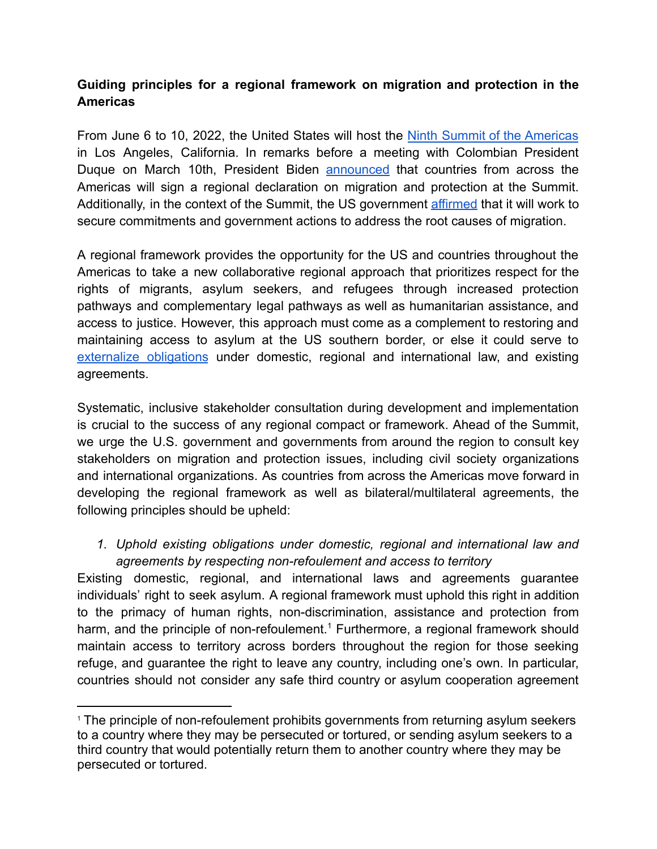### **Guiding principles for a regional framework on migration and protection in the Americas**

From June 6 to 10, 2022, the United States will host the Ninth Summit of the [Americas](https://www.whitehouse.gov/briefing-room/statements-releases/2022/01/18/president-biden-announces-host-city-for-ninth-summit-of-the-americas/) in Los Angeles, California. In remarks before a meeting with Colombian President Duque on March 10th, President Biden **[announced](https://www.whitehouse.gov/briefing-room/speeches-remarks/2022/03/10/remarks-by-president-biden-and-president-duque-of-the-republic-of-colombia-before-bilateral-meeting/)** that countries from across the Americas will sign a regional declaration on migration and protection at the Summit. Additionally, in the context of the Summit, the US government [affirmed](https://www.state.gov/summit-of-the-americas/) that it will work to secure commitments and government actions to address the root causes of migration.

A regional framework provides the opportunity for the US and countries throughout the Americas to take a new collaborative regional approach that prioritizes respect for the rights of migrants, asylum seekers, and refugees through increased protection pathways and complementary legal pathways as well as humanitarian assistance, and access to justice. However, this approach must come as a complement to restoring and maintaining access to asylum at the US southern border, or else it could serve to [externalize](https://www.refworld.org/pdfid/60b115604.pdf) obligations under domestic, regional and international law, and existing agreements.

Systematic, inclusive stakeholder consultation during development and implementation is crucial to the success of any regional compact or framework. Ahead of the Summit, we urge the U.S. government and governments from around the region to consult key stakeholders on migration and protection issues, including civil society organizations and international organizations. As countries from across the Americas move forward in developing the regional framework as well as bilateral/multilateral agreements, the following principles should be upheld:

### *1. Uphold existing obligations under domestic, regional and international law and agreements by respecting non-refoulement and access to territory*

Existing domestic, regional, and international laws and agreements guarantee individuals' right to seek asylum. A regional framework must uphold this right in addition to the primacy of human rights, non-discrimination, assistance and protection from harm, and the principle of non-refoulement.<sup>1</sup> Furthermore, a regional framework should maintain access to territory across borders throughout the region for those seeking refuge, and guarantee the right to leave any country, including one's own. In particular, countries should not consider any safe third country or asylum cooperation agreement

<sup>&</sup>lt;sup>1</sup> The principle of non-refoulement prohibits governments from returning asylum seekers to a country where they may be persecuted or tortured, or sending asylum seekers to a third country that would potentially return them to another country where they may be persecuted or tortured.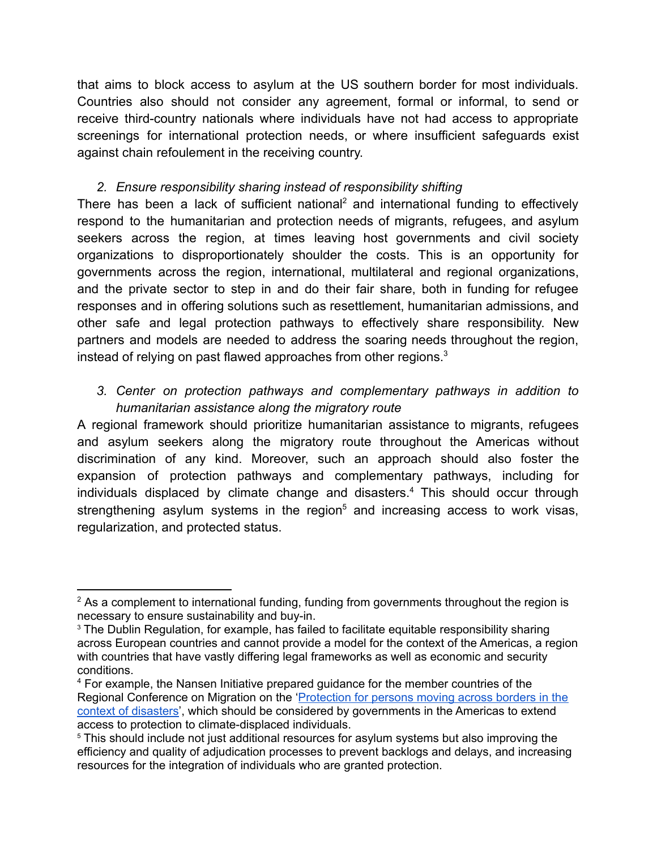that aims to block access to asylum at the US southern border for most individuals. Countries also should not consider any agreement, formal or informal, to send or receive third-country nationals where individuals have not had access to appropriate screenings for international protection needs, or where insufficient safeguards exist against chain refoulement in the receiving country.

### *2. Ensure responsibility sharing instead of responsibility shifting*

There has been a lack of sufficient national<sup>2</sup> and international funding to effectively respond to the humanitarian and protection needs of migrants, refugees, and asylum seekers across the region, at times leaving host governments and civil society organizations to disproportionately shoulder the costs. This is an opportunity for governments across the region, international, multilateral and regional organizations, and the private sector to step in and do their fair share, both in funding for refugee responses and in offering solutions such as resettlement, humanitarian admissions, and other safe and legal protection pathways to effectively share responsibility. New partners and models are needed to address the soaring needs throughout the region, instead of relying on past flawed approaches from other regions.<sup>3</sup>

## *3. Center on protection pathways and complementary pathways in addition to humanitarian assistance along the migratory route*

A regional framework should prioritize humanitarian assistance to migrants, refugees and asylum seekers along the migratory route throughout the Americas without discrimination of any kind. Moreover, such an approach should also foster the expansion of protection pathways and complementary pathways, including for individuals displaced by climate change and disasters.<sup>4</sup> This should occur through strengthening asylum systems in the region<sup>5</sup> and increasing access to work visas, regularization, and protected status.

 $2$  As a complement to international funding, funding from governments throughout the region is necessary to ensure sustainability and buy-in.

<sup>&</sup>lt;sup>3</sup> The Dublin Regulation, for example, has failed to facilitate equitable responsibility sharing across European countries and cannot provide a model for the context of the Americas, a region with countries that have vastly differing legal frameworks as well as economic and security conditions.

<sup>4</sup> For example, the Nansen Initiative prepared guidance for the member countries of the Regional Conference on Migration on the '[Protection](https://disasterdisplacement.org/wp-content/uploads/2016/11/PROTECTION-FOR-PERSONS-MOVING-IN-THE-CONTEXT-OF-DISASTERS.pdf) for persons moving across borders in the context of [disasters'](https://disasterdisplacement.org/wp-content/uploads/2016/11/PROTECTION-FOR-PERSONS-MOVING-IN-THE-CONTEXT-OF-DISASTERS.pdf), which should be considered by governments in the Americas to extend access to protection to climate-displaced individuals.

<sup>&</sup>lt;sup>5</sup> This should include not just additional resources for asylum systems but also improving the efficiency and quality of adjudication processes to prevent backlogs and delays, and increasing resources for the integration of individuals who are granted protection.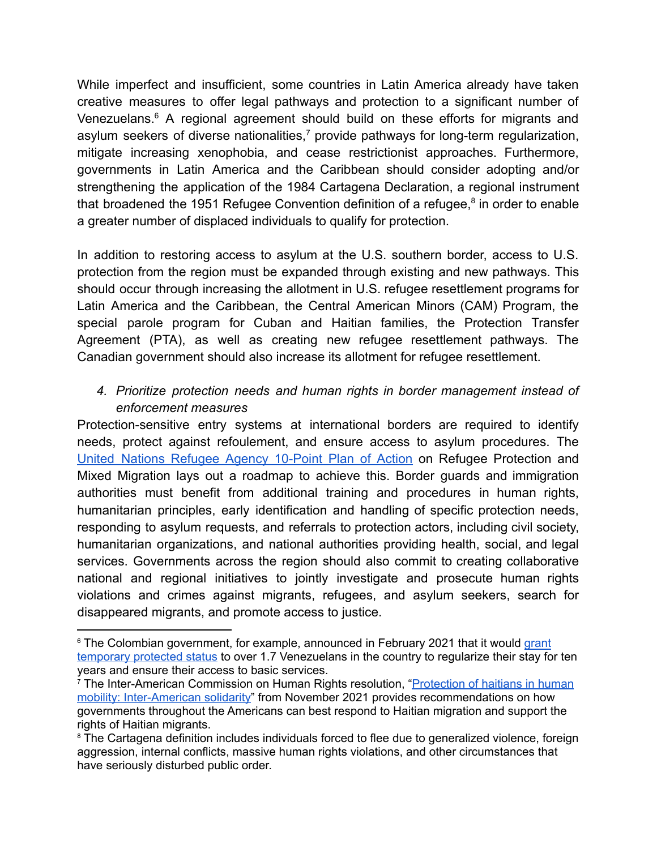While imperfect and insufficient, some countries in Latin America already have taken creative measures to offer legal pathways and protection to a significant number of Venezuelans.<sup>6</sup> A regional agreement should build on these efforts for migrants and asylum seekers of diverse nationalities, $<sup>7</sup>$  provide pathways for long-term regularization,</sup> mitigate increasing xenophobia, and cease restrictionist approaches. Furthermore, governments in Latin America and the Caribbean should consider adopting and/or strengthening the application of the 1984 Cartagena Declaration, a regional instrument that broadened the 1951 Refugee Convention definition of a refugee, $8$  in order to enable a greater number of displaced individuals to qualify for protection.

In addition to restoring access to asylum at the U.S. southern border, access to U.S. protection from the region must be expanded through existing and new pathways. This should occur through increasing the allotment in U.S. refugee resettlement programs for Latin America and the Caribbean, the Central American Minors (CAM) Program, the special parole program for Cuban and Haitian families, the Protection Transfer Agreement (PTA), as well as creating new refugee resettlement pathways. The Canadian government should also increase its allotment for refugee resettlement.

# *4. Prioritize protection needs and human rights in border management instead of enforcement measures*

Protection-sensitive entry systems at international borders are required to identify needs, protect against refoulement, and ensure access to asylum procedures. The United Nations [Refugee](https://www.unhcr.org/the-10-point-plan-in-action.html) Agency 10-Point Plan of Action on Refugee Protection and Mixed Migration lays out a roadmap to achieve this. Border guards and immigration authorities must benefit from additional training and procedures in human rights, humanitarian principles, early identification and handling of specific protection needs, responding to asylum requests, and referrals to protection actors, including civil society, humanitarian organizations, and national authorities providing health, social, and legal services. Governments across the region should also commit to creating collaborative national and regional initiatives to jointly investigate and prosecute human rights violations and crimes against migrants, refugees, and asylum seekers, search for disappeared migrants, and promote access to justice.

<sup>&</sup>lt;sup>6</sup> The Colombian government, for example, announced in February 2021 that it would [grant](https://reliefweb.int/sites/reliefweb.int/files/resources/Support%2520Plan%2520ETPV_DRAFT11062021_ENG_FV24062021.pdf) [temporary](https://reliefweb.int/sites/reliefweb.int/files/resources/Support%2520Plan%2520ETPV_DRAFT11062021_ENG_FV24062021.pdf) protected status to over 1.7 Venezuelans in the country to regularize their stay for ten years and ensure their access to basic services.

<sup>&</sup>lt;sup>7</sup> The Inter-American Commission on Human Rights resolution, "*Protection of haitians in human* mobility: [Inter-American](https://www.oas.org/en/iachr/decisions/pdf/2021/Res-2-21-en.pdf) solidarity" from November 2021 provides recommendations on how governments throughout the Americans can best respond to Haitian migration and support the rights of Haitian migrants.

<sup>&</sup>lt;sup>8</sup> The Cartagena definition includes individuals forced to flee due to generalized violence, foreign aggression, internal conflicts, massive human rights violations, and other circumstances that have seriously disturbed public order.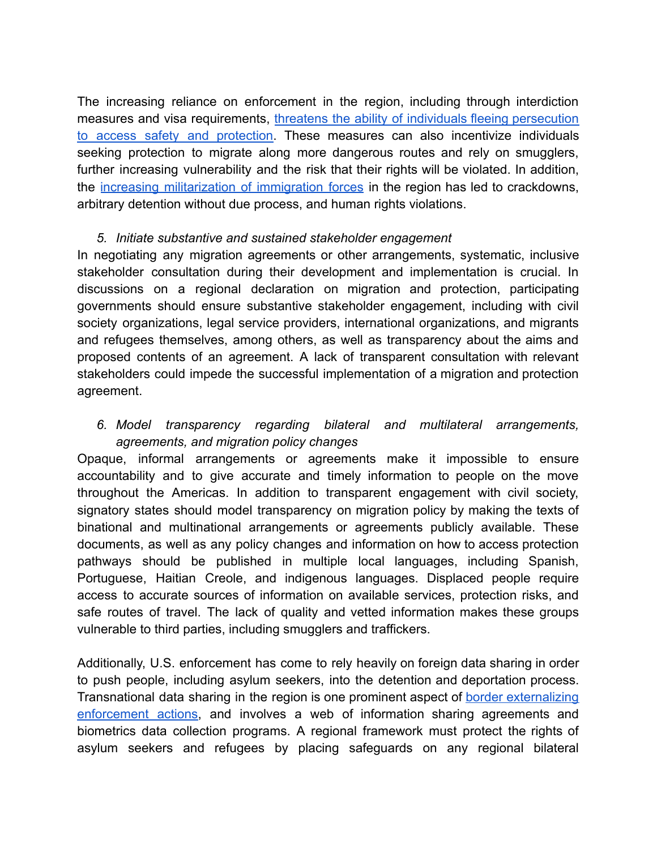The increasing reliance on enforcement in the region, including through interdiction measures and visa requirements, threatens the ability of individuals fleeing [persecution](https://www.unhcr.org/4963237411.pdf) to access safety and [protection.](https://www.unhcr.org/4963237411.pdf) These measures can also incentivize individuals seeking protection to migrate along more dangerous routes and rely on smugglers, further increasing vulnerability and the risk that their rights will be violated. In addition, the increasing [militarization](https://www.wola.org/2021/03/mexicos-militarized-migration-crackdown-asylum/) of immigration forces in the region has led to crackdowns, arbitrary detention without due process, and human rights violations.

#### *5. Initiate substantive and sustained stakeholder engagement*

In negotiating any migration agreements or other arrangements, systematic, inclusive stakeholder consultation during their development and implementation is crucial. In discussions on a regional declaration on migration and protection, participating governments should ensure substantive stakeholder engagement, including with civil society organizations, legal service providers, international organizations, and migrants and refugees themselves, among others, as well as transparency about the aims and proposed contents of an agreement. A lack of transparent consultation with relevant stakeholders could impede the successful implementation of a migration and protection agreement.

### *6. Model transparency regarding bilateral and multilateral arrangements, agreements, and migration policy changes*

Opaque, informal arrangements or agreements make it impossible to ensure accountability and to give accurate and timely information to people on the move throughout the Americas. In addition to transparent engagement with civil society, signatory states should model transparency on migration policy by making the texts of binational and multinational arrangements or agreements publicly available. These documents, as well as any policy changes and information on how to access protection pathways should be published in multiple local languages, including Spanish, Portuguese, Haitian Creole, and indigenous languages. Displaced people require access to accurate sources of information on available services, protection risks, and safe routes of travel. The lack of quality and vetted information makes these groups vulnerable to third parties, including smugglers and traffickers.

Additionally, U.S. enforcement has come to rely heavily on foreign data sharing in order to push people, including asylum seekers, into the detention and deportation process. Transnational data sharing in the region is one prominent aspect of border [externalizing](https://immigrantjustice.org/press-releases/new-report-how-offshoring-and-externalization-policies-imperil-right-asylum) [enforcement](https://immigrantjustice.org/press-releases/new-report-how-offshoring-and-externalization-policies-imperil-right-asylum) actions, and involves a web of information sharing agreements and biometrics data collection programs. A regional framework must protect the rights of asylum seekers and refugees by placing safeguards on any regional bilateral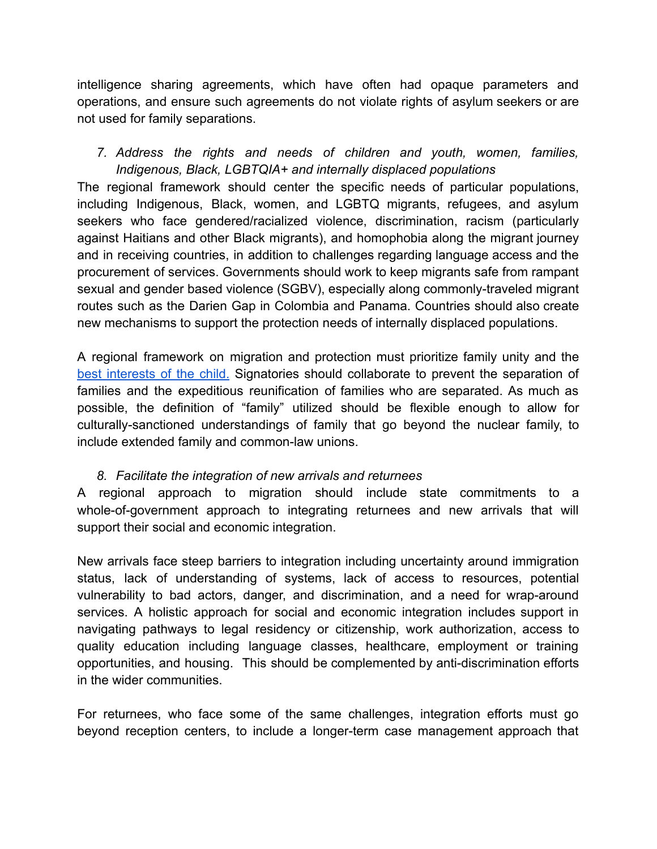intelligence sharing agreements, which have often had opaque parameters and operations, and ensure such agreements do not violate rights of asylum seekers or are not used for family separations.

*7. Address the rights and needs of children and youth, women, families, Indigenous, Black, LGBTQIA+ and internally displaced populations*

The regional framework should center the specific needs of particular populations, including Indigenous, Black, women, and LGBTQ migrants, refugees, and asylum seekers who face gendered/racialized violence, discrimination, racism (particularly against Haitians and other Black migrants), and homophobia along the migrant journey and in receiving countries, in addition to challenges regarding language access and the procurement of services. Governments should work to keep migrants safe from rampant sexual and gender based violence (SGBV), especially along commonly-traveled migrant routes such as the Darien Gap in Colombia and Panama. Countries should also create new mechanisms to support the protection needs of internally displaced populations.

A regional framework on migration and protection must prioritize family unity and the best [interests](https://www.unhcr.org/en-my/4ba09bb59.pdf) of the child. Signatories should collaborate to prevent the separation of families and the expeditious reunification of families who are separated. As much as possible, the definition of "family" utilized should be flexible enough to allow for culturally-sanctioned understandings of family that go beyond the nuclear family, to include extended family and common-law unions.

### *8. Facilitate the integration of new arrivals and returnees*

A regional approach to migration should include state commitments to a whole-of-government approach to integrating returnees and new arrivals that will support their social and economic integration.

New arrivals face steep barriers to integration including uncertainty around immigration status, lack of understanding of systems, lack of access to resources, potential vulnerability to bad actors, danger, and discrimination, and a need for wrap-around services. A holistic approach for social and economic integration includes support in navigating pathways to legal residency or citizenship, work authorization, access to quality education including language classes, healthcare, employment or training opportunities, and housing. This should be complemented by anti-discrimination efforts in the wider communities.

For returnees, who face some of the same challenges, integration efforts must go beyond reception centers, to include a longer-term case management approach that